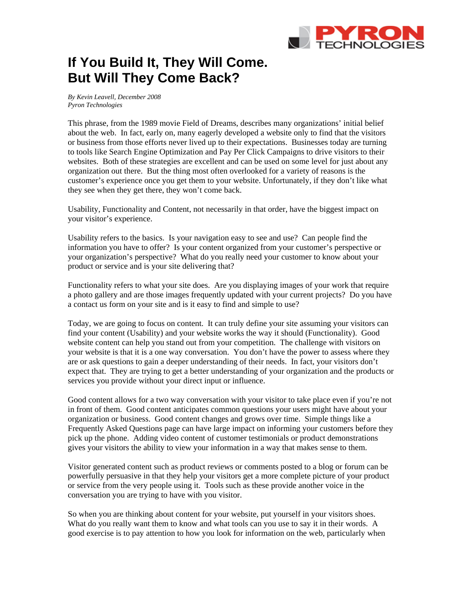

## **If You Build It, They Will Come. But Will They Come Back?**

*By Kevin Leavell, December 2008 Pyron Technologies* 

This phrase, from the 1989 movie Field of Dreams, describes many organizations' initial belief about the web. In fact, early on, many eagerly developed a website only to find that the visitors or business from those efforts never lived up to their expectations. Businesses today are turning to tools like Search Engine Optimization and Pay Per Click Campaigns to drive visitors to their websites. Both of these strategies are excellent and can be used on some level for just about any organization out there. But the thing most often overlooked for a variety of reasons is the customer's experience once you get them to your website. Unfortunately, if they don't like what they see when they get there, they won't come back.

Usability, Functionality and Content, not necessarily in that order, have the biggest impact on your visitor's experience.

Usability refers to the basics. Is your navigation easy to see and use? Can people find the information you have to offer? Is your content organized from your customer's perspective or your organization's perspective? What do you really need your customer to know about your product or service and is your site delivering that?

Functionality refers to what your site does. Are you displaying images of your work that require a photo gallery and are those images frequently updated with your current projects? Do you have a contact us form on your site and is it easy to find and simple to use?

Today, we are going to focus on content. It can truly define your site assuming your visitors can find your content (Usability) and your website works the way it should (Functionality). Good website content can help you stand out from your competition. The challenge with visitors on your website is that it is a one way conversation. You don't have the power to assess where they are or ask questions to gain a deeper understanding of their needs. In fact, your visitors don't expect that. They are trying to get a better understanding of your organization and the products or services you provide without your direct input or influence.

Good content allows for a two way conversation with your visitor to take place even if you're not in front of them. Good content anticipates common questions your users might have about your organization or business. Good content changes and grows over time. Simple things like a Frequently Asked Questions page can have large impact on informing your customers before they pick up the phone. Adding video content of customer testimonials or product demonstrations gives your visitors the ability to view your information in a way that makes sense to them.

Visitor generated content such as product reviews or comments posted to a blog or forum can be powerfully persuasive in that they help your visitors get a more complete picture of your product or service from the very people using it. Tools such as these provide another voice in the conversation you are trying to have with you visitor.

So when you are thinking about content for your website, put yourself in your visitors shoes. What do you really want them to know and what tools can you use to say it in their words. A good exercise is to pay attention to how you look for information on the web, particularly when